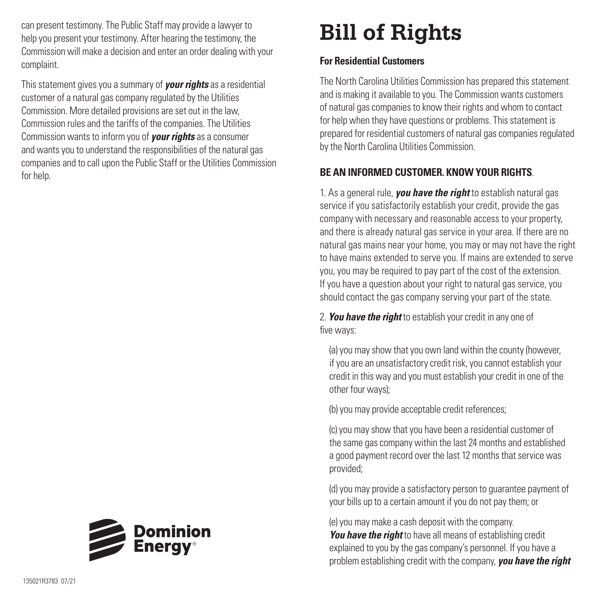can present testimony. The Public Staff may provide a lawyer to help you present your testimony. After hearing the testimony, the Commission will make a decision and enter an order dealing with your complaint.

This statement gives you a summary of *your rights* as a residential customer of a natural gas company regulated by the Utilities Commission. More detailed provisions are set out in the law, Commission rules and the tariffs of the companies. The Utilities Commission wants to inform you of *your rights* as a consumer and wants you to understand the responsibilities of the natural gas companies and to call upon the Public Staff or the Utilities Commission for help.

## **Bill of Rights**

## **For Residential Customers**

The North Carolina Utilities Commission has prepared this statement and is making it available to you. The Commission wants customers of natural gas companies to know their rights and whom to contact for help when they have questions or problems. This statement is prepared for residential customers of natural gas companies regulated by the North Carolina Utilities Commission.

## **BE AN INFORMED CUSTOMER. KNOW YOUR RIGHTS**.

1. As a general rule, *you have the right* to establish natural gas service if you satisfactorily establish your credit, provide the gas company with necessary and reasonable access to your property, and there is already natural gas service in your area. If there are no natural gas mains near your home, you may or may not have the right to have mains extended to serve you. If mains are extended to serve you, you may be required to pay part of the cost of the extension. If you have a question about your right to natural gas service, you should contact the gas company serving your part of the state.

2. *You have the right* to establish your credit in any one of five ways:

(a) you may show that you own land within the county (however, if you are an unsatisfactory credit risk, you cannot establish your credit in this way and you must establish your credit in one of the other four ways);

(b) you may provide acceptable credit references;

(c) you may show that you have been a residential customer of the same gas company within the last 24 months and established a good payment record over the last 12 months that service was provided;

(d) you may provide a satisfactory person to guarantee payment of your bills up to a certain amount if you do not pay them; or

(e) you may make a cash deposit with the company. *You have the right* to have all means of establishing credit explained to you by the gas company's personnel. If you have a problem establishing credit with the company, *you have the right*